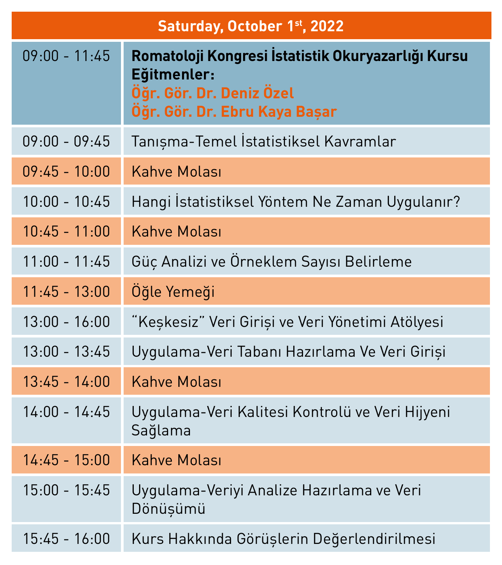| Saturday, October 1 <sup>st</sup> , 2022 |                                                                                                                                |  |
|------------------------------------------|--------------------------------------------------------------------------------------------------------------------------------|--|
| $09:00 - 11:45$                          | Romatoloji Kongresi İstatistik Okuryazarlığı Kursu<br>Eğitmenler:<br>Öğr. Gör. Dr. Deniz Özel<br>Öğr. Gör. Dr. Ebru Kaya Başar |  |
| $09:00 - 09:45$                          | Tanışma-Temel İstatistiksel Kavramlar                                                                                          |  |
| $09:45 - 10:00$                          | <b>Kahve Molası</b>                                                                                                            |  |
| $10:00 - 10:45$                          | Hangi İstatistiksel Yöntem Ne Zaman Uygulanır?                                                                                 |  |
| $10:45 - 11:00$                          | <b>Kahve Molası</b>                                                                                                            |  |
| $11:00 - 11:45$                          | Güç Analizi ve Örneklem Sayısı Belirleme                                                                                       |  |
| $11:45 - 13:00$                          | Oğle Yemeği                                                                                                                    |  |
| $13:00 - 16:00$                          | "Keşkesiz" Veri Girişi ve Veri Yönetimi Atölyesi                                                                               |  |
| $13:00 - 13:45$                          | Uygulama-Veri Tabanı Hazırlama Ve Veri Girişi                                                                                  |  |
| $13:45 - 14:00$                          | <b>Kahve Molası</b>                                                                                                            |  |
| $14:00 - 14:45$                          | Uygulama-Veri Kalitesi Kontrolü ve Veri Hijyeni<br>Sağlama                                                                     |  |
| $14:45 - 15:00$                          | <b>Kahve Molası</b>                                                                                                            |  |
| $15:00 - 15:45$                          | Uygulama-Veriyi Analize Hazırlama ve Veri<br>Dönüşümü                                                                          |  |
| $15:45 - 16:00$                          | Kurs Hakkında Görüşlerin Değerlendirilmesi                                                                                     |  |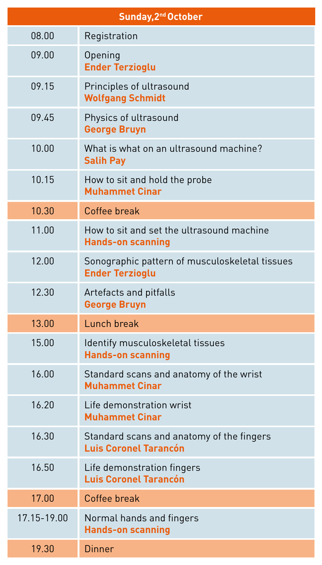| Sunday, 2 <sup>nd</sup> October |                                                                           |  |
|---------------------------------|---------------------------------------------------------------------------|--|
| 08.00                           | Registration                                                              |  |
| 09.00                           | Opening<br><b>Ender Terzioglu</b>                                         |  |
| 09.15                           | Principles of ultrasound<br><b>Wolfgang Schmidt</b>                       |  |
| 09.45                           | Physics of ultrasound<br><b>George Bruyn</b>                              |  |
| 10.00                           | What is what on an ultrasound machine?<br><b>Salih Pay</b>                |  |
| 10.15                           | How to sit and hold the probe<br><b>Muhammet Cinar</b>                    |  |
| 10.30                           | Coffee break                                                              |  |
| 11.00                           | How to sit and set the ultrasound machine<br><b>Hands-on scanning</b>     |  |
| 12.00                           | Sonographic pattern of musculoskeletal tissues<br><b>Ender Terzioglu</b>  |  |
| 12.30                           | Artefacts and pitfalls<br><b>George Bruyn</b>                             |  |
| 13.00                           | Lunch break                                                               |  |
| 15.00                           | Identify musculoskeletal tissues<br><b>Hands-on scanning</b>              |  |
| 16.00                           | Standard scans and anatomy of the wrist<br><b>Muhammet Cinar</b>          |  |
| 16.20                           | Life demonstration wrist<br><b>Muhammet Cinar</b>                         |  |
| 16.30                           | Standard scans and anatomy of the fingers<br><b>Luis Coronel Tarancón</b> |  |
| 16.50                           | Life demonstration fingers<br><b>Luis Coronel Tarancón</b>                |  |
| 17.00                           | Coffee break                                                              |  |
| 17.15-19.00                     | Normal hands and fingers<br><b>Hands-on scanning</b>                      |  |
| 19.30                           | Dinner                                                                    |  |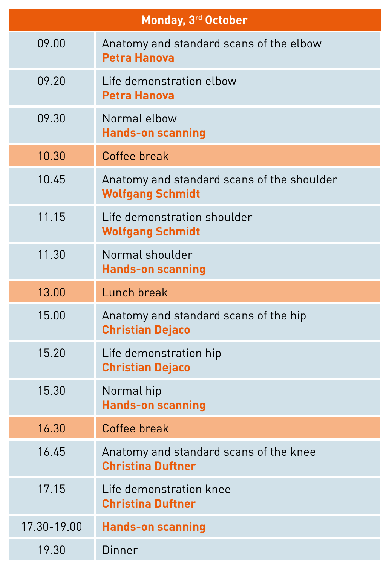| Monday, 3rd October |                                                                       |  |
|---------------------|-----------------------------------------------------------------------|--|
| 09.00               | Anatomy and standard scans of the elbow<br><b>Petra Hanova</b>        |  |
| 09.20               | Life demonstration elbow<br><b>Petra Hanova</b>                       |  |
| 09.30               | Normal elbow<br><b>Hands-on scanning</b>                              |  |
| 10.30               | Coffee break                                                          |  |
| 10.45               | Anatomy and standard scans of the shoulder<br><b>Wolfgang Schmidt</b> |  |
| 11.15               | Life demonstration shoulder<br><b>Wolfgang Schmidt</b>                |  |
| 11.30               | Normal shoulder<br><b>Hands-on scanning</b>                           |  |
| 13.00               | Lunch break                                                           |  |
| 15.00               | Anatomy and standard scans of the hip<br><b>Christian Dejaco</b>      |  |
| 15.20               | Life demonstration hip<br><b>Christian Dejaco</b>                     |  |
| 15.30               | Normal hip<br><b>Hands-on scanning</b>                                |  |
| 16.30               | Coffee break                                                          |  |
|                     |                                                                       |  |

| 16.45       | Anatomy and standard scans of the knee<br><b>Christina Duftner</b> |
|-------------|--------------------------------------------------------------------|
| 17.15       | Life demonstration knee<br><b>Christina Duftner</b>                |
| 17.30-19.00 | <b>Hands-on scanning</b>                                           |
| 19.30       | Dinner                                                             |